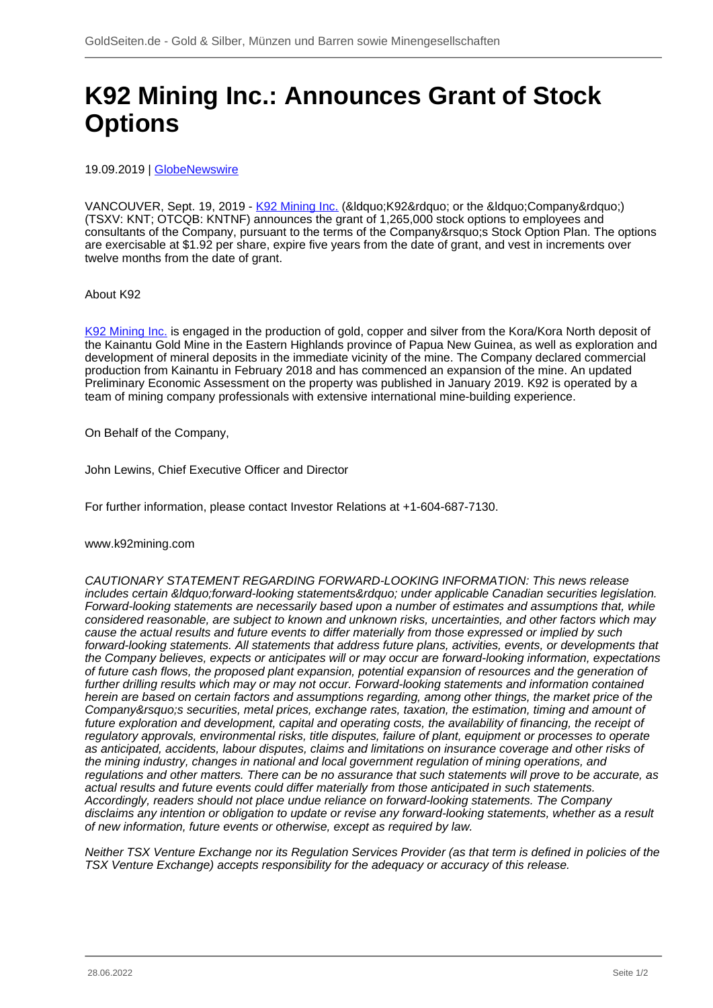## **K92 Mining Inc.: Announces Grant of Stock Options**

19.09.2019 | [GlobeNewswire](/profil/261--GlobeNewswire)

VANCOUVER, Sept. 19, 2019 - [K92 Mining Inc.](/minen/3040--K92-Mining-Inc) (&Idquo; K92" or the &Idquo; Company") (TSXV: KNT; OTCQB: KNTNF) announces the grant of 1,265,000 stock options to employees and consultants of the Company, pursuant to the terms of the Company' Stock Option Plan. The options are exercisable at \$1.92 per share, expire five years from the date of grant, and vest in increments over twelve months from the date of grant.

About K92

[K92 Mining Inc.](/minen/3040--K92-Mining-Inc) is engaged in the production of gold, copper and silver from the Kora/Kora North deposit of the Kainantu Gold Mine in the Eastern Highlands province of Papua New Guinea, as well as exploration and development of mineral deposits in the immediate vicinity of the mine. The Company declared commercial production from Kainantu in February 2018 and has commenced an expansion of the mine. An updated Preliminary Economic Assessment on the property was published in January 2019. K92 is operated by a team of mining company professionals with extensive international mine-building experience.

On Behalf of the Company,

John Lewins, Chief Executive Officer and Director

For further information, please contact Investor Relations at +1-604-687-7130.

www.k92mining.com

CAUTIONARY STATEMENT REGARDING FORWARD-LOOKING INFORMATION: This news release includes certain "forward-looking statements" under applicable Canadian securities legislation. Forward-looking statements are necessarily based upon a number of estimates and assumptions that, while considered reasonable, are subject to known and unknown risks, uncertainties, and other factors which may cause the actual results and future events to differ materially from those expressed or implied by such forward-looking statements. All statements that address future plans, activities, events, or developments that the Company believes, expects or anticipates will or may occur are forward-looking information, expectations of future cash flows, the proposed plant expansion, potential expansion of resources and the generation of further drilling results which may or may not occur. Forward-looking statements and information contained herein are based on certain factors and assumptions regarding, among other things, the market price of the Company's securities, metal prices, exchange rates, taxation, the estimation, timing and amount of future exploration and development, capital and operating costs, the availability of financing, the receipt of regulatory approvals, environmental risks, title disputes, failure of plant, equipment or processes to operate as anticipated, accidents, labour disputes, claims and limitations on insurance coverage and other risks of the mining industry, changes in national and local government regulation of mining operations, and regulations and other matters. There can be no assurance that such statements will prove to be accurate, as actual results and future events could differ materially from those anticipated in such statements. Accordingly, readers should not place undue reliance on forward-looking statements. The Company disclaims any intention or obligation to update or revise any forward-looking statements, whether as a result of new information, future events or otherwise, except as required by law.

Neither TSX Venture Exchange nor its Regulation Services Provider (as that term is defined in policies of the TSX Venture Exchange) accepts responsibility for the adequacy or accuracy of this release.